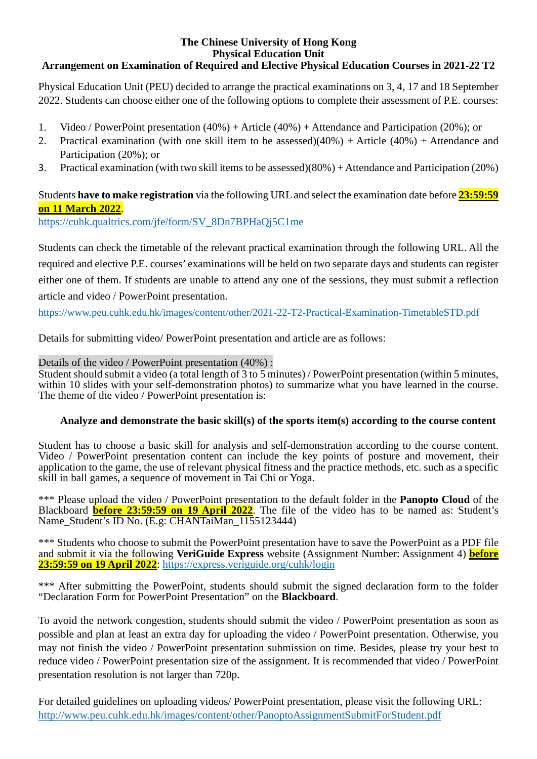## **The Chinese University of Hong Kong Physical Education Unit Arrangement on Examination of Required and Elective Physical Education Courses in 2021-22 T2**

Physical Education Unit (PEU) decided to arrange the practical examinations on 3, 4, 17 and 18 September 2022. Students can choose either one of the following options to complete their assessment of P.E. courses:

- 1. Video / PowerPoint presentation (40%) + Article (40%) + Attendance and Participation (20%); or
- 2. Practical examination (with one skill item to be assessed)(40%) + Article (40%) + Attendance and Participation (20%); or
- 3. Practical examination (with two skill items to be assessed)(80%) + Attendance and Participation (20%)

## Students **have to make registration** via the following URLand select the examination date before **23:59:59 on 11 March 2022**.

[https://cuhk.qualtrics.com/jfe/form/SV\\_8Dn7BPHaQj5C1me](https://cuhk.qualtrics.com/jfe/form/SV_8Dn7BPHaQj5C1me)

Students can check the timetable of the relevant practical examination through the following URL. All the required and elective P.E. courses' examinations will be held on two separate days and students can register either one of them. If students are unable to attend any one of the sessions, they must submit a reflection article and video / PowerPoint presentation.

<https://www.peu.cuhk.edu.hk/images/content/other/2021-22-T2-Practical-Examination-TimetableSTD.pdf>

Details for submitting video/ PowerPoint presentation and article are as follows:

Details of the video / PowerPoint presentation (40%) :<br>Student should submit a video (a total length of 3 to 5 minutes) / PowerPoint presentation (within 5 minutes, within 10 slides with your self-demonstration photos) to summarize what you have learned in the course. The theme of the video / PowerPoint presentation is:

## **Analyze and demonstrate the basic skill(s) of the sports item(s) according to the course content**

Student has to choose a basic skill for analysis and self-demonstration according to the course content. Video / PowerPoint presentation content can include the key points of posture and movement, their application to the game, the use of relevant physical fitness and the practice methods, etc. such as a specific skill in ball games, a sequence of movement in Tai Chi or Yoga.

\*\*\* Please upload the video / PowerPoint presentation to the default folder in the **Panopto Cloud** of the Blackboard **before 23:59:59 on 19 April 2022**. The file of the video has to be named as: Student's Name\_Student's ID No. (E.g: CHANTaiMan\_1155123444)

\*\*\* Students who choose to submit the PowerPoint presentation have to save the PowerPoint as a PDF file and submit it via the following **VeriGuide Express** website (Assignment Number: Assignment 4) **before 23:59:59 on 19 April 2022**: <https://express.veriguide.org/cuhk/login>

\*\*\* After submitting the PowerPoint, students should submit the signed declaration form to the folder "Declaration Form for PowerPoint Presentation" on the **Blackboard**.

To avoid the network congestion, students should submit the video / PowerPoint presentation as soon as possible and plan at least an extra day for uploading the video / PowerPoint presentation. Otherwise, you may not finish the video / PowerPoint presentation submission on time. Besides, please try your best to reduce video / PowerPoint presentation size of the assignment. It is recommended that video / PowerPoint presentation resolution is not larger than 720p.

For detailed guidelines on uploading videos/ PowerPoint presentation, please visit the following URL: <http://www.peu.cuhk.edu.hk/images/content/other/PanoptoAssignmentSubmitForStudent.pdf>